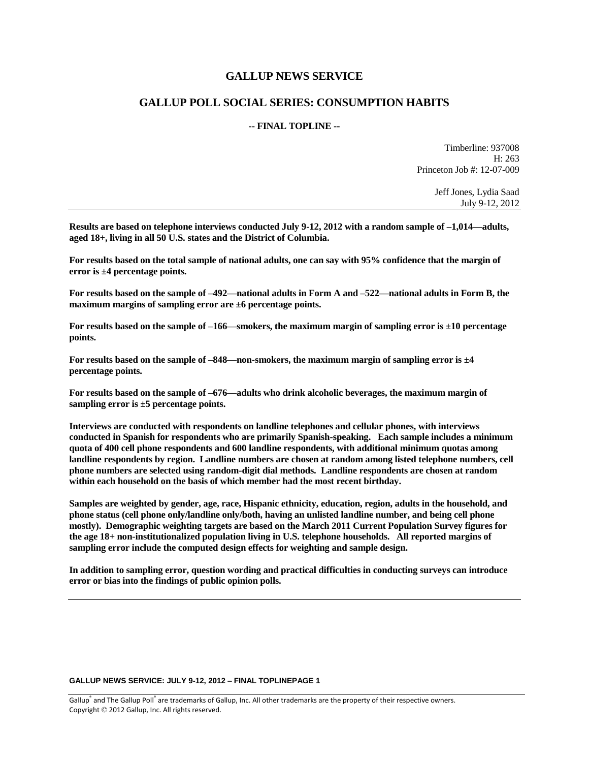# **GALLUP NEWS SERVICE**

# **GALLUP POLL SOCIAL SERIES: CONSUMPTION HABITS**

# **-- FINAL TOPLINE --**

Timberline: 937008 H: 263 Princeton Job #: 12-07-009

> Jeff Jones, Lydia Saad July 9-12, 2012

**Results are based on telephone interviews conducted July 9-12, 2012 with a random sample of –1,014—adults, aged 18+, living in all 50 U.S. states and the District of Columbia.** 

**For results based on the total sample of national adults, one can say with 95% confidence that the margin of error is ±4 percentage points.**

**For results based on the sample of –492—national adults in Form A and –522—national adults in Form B, the maximum margins of sampling error are ±6 percentage points.**

**For results based on the sample of –166—smokers, the maximum margin of sampling error is ±10 percentage points.**

**For results based on the sample of –848—non-smokers, the maximum margin of sampling error is ±4 percentage points.**

**For results based on the sample of –676—adults who drink alcoholic beverages, the maximum margin of sampling error is ±5 percentage points.**

**Interviews are conducted with respondents on landline telephones and cellular phones, with interviews conducted in Spanish for respondents who are primarily Spanish-speaking. Each sample includes a minimum quota of 400 cell phone respondents and 600 landline respondents, with additional minimum quotas among landline respondents by region. Landline numbers are chosen at random among listed telephone numbers, cell phone numbers are selected using random-digit dial methods. Landline respondents are chosen at random within each household on the basis of which member had the most recent birthday.** 

**Samples are weighted by gender, age, race, Hispanic ethnicity, education, region, adults in the household, and phone status (cell phone only/landline only/both, having an unlisted landline number, and being cell phone mostly). Demographic weighting targets are based on the March 2011 Current Population Survey figures for the age 18+ non-institutionalized population living in U.S. telephone households. All reported margins of sampling error include the computed design effects for weighting and sample design.** 

**In addition to sampling error, question wording and practical difficulties in conducting surveys can introduce error or bias into the findings of public opinion polls.**

#### **GALLUP NEWS SERVICE: JULY 9-12, 2012 – FINAL TOPLINEPAGE 1**

Gallup<sup>®</sup> and The Gallup Poll® are trademarks of Gallup, Inc. All other trademarks are the property of their respective owners. Copyright © 2012 Gallup, Inc. All rights reserved.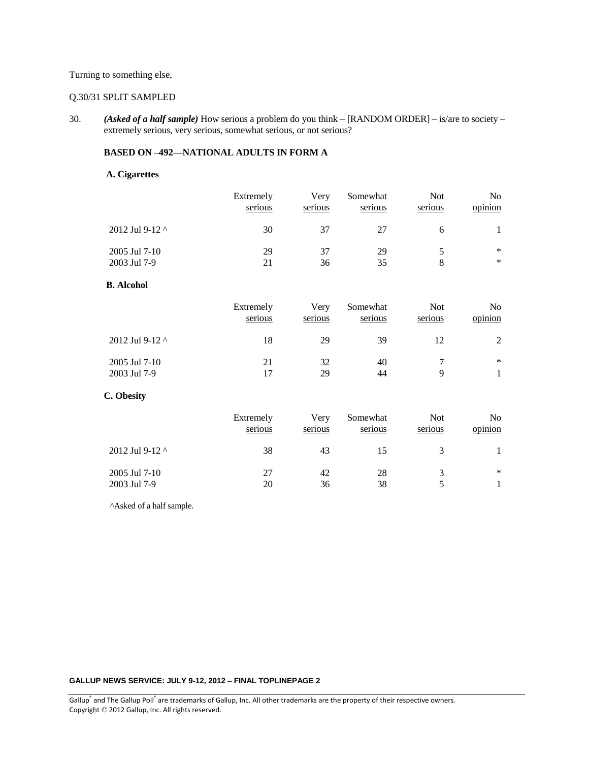# Turning to something else,

## Q.30/31 SPLIT SAMPLED

30. *(Asked of a half sample)* How serious a problem do you think – [RANDOM ORDER] – is/are to society – extremely serious, very serious, somewhat serious, or not serious?

#### **BASED ON –492—NATIONAL ADULTS IN FORM A**

# **A. Cigarettes**

|                       | Extremely | Very    | Somewhat | <b>Not</b> | N <sub>0</sub> |
|-----------------------|-----------|---------|----------|------------|----------------|
|                       | serious   | serious | serious  | serious    | opinion        |
| 2012 Jul 9-12 $\land$ | 30        | 37      | 27       |            |                |
| 2005 Jul 7-10         | 29        | 37      | 29       |            | $\ast$         |
| 2003 Jul 7-9          | 21        | 36      | 35       |            | ∗              |

# **B. Alcohol**

|                       | Extremely<br>serious | Verv<br>serious | Somewhat<br>serious | <b>Not</b><br>serious | N <sub>o</sub><br>opinion |
|-----------------------|----------------------|-----------------|---------------------|-----------------------|---------------------------|
| 2012 Jul 9-12 $\land$ | 18                   | 29              | 39                  | 12                    |                           |
| 2005 Jul 7-10         | 21                   | 32              | 40                  |                       | $\ast$                    |
| 2003 Jul 7-9          | 17                   | 29              | 44                  | Q                     |                           |

### **C. Obesity**

|                       | Extremely<br>serious | Very<br>serious | Somewhat<br>serious | Not<br>serious | No<br>opinion |
|-----------------------|----------------------|-----------------|---------------------|----------------|---------------|
| 2012 Jul 9-12 $\land$ | 38                   | 43              | 15                  |                |               |
| 2005 Jul 7-10         | 27                   | 42              | 28                  |                | ∗             |
| 2003 Jul 7-9          | 20                   | 36              | 38                  |                |               |

^Asked of a half sample.

#### **GALLUP NEWS SERVICE: JULY 9-12, 2012 – FINAL TOPLINEPAGE 2**